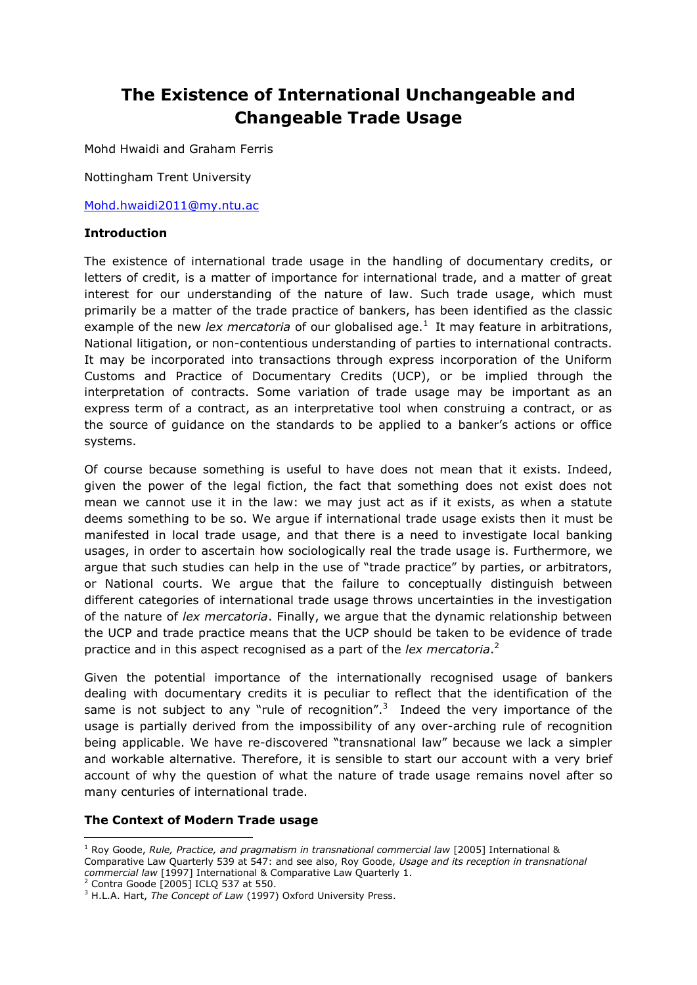# **The Existence of International Unchangeable and Changeable Trade Usage**

Mohd Hwaidi and Graham Ferris

Nottingham Trent University

[Mohd.hwaidi2011@my.ntu.ac](mailto:Mohd.hwaidi2011@my.ntu.ac)

#### **Introduction**

The existence of international trade usage in the handling of documentary credits, or letters of credit, is a matter of importance for international trade, and a matter of great interest for our understanding of the nature of law. Such trade usage, which must primarily be a matter of the trade practice of bankers, has been identified as the classic example of the new *lex mercatoria* of our globalised age.<sup>1</sup> It may feature in arbitrations, National litigation, or non-contentious understanding of parties to international contracts. It may be incorporated into transactions through express incorporation of the Uniform Customs and Practice of Documentary Credits (UCP), or be implied through the interpretation of contracts. Some variation of trade usage may be important as an express term of a contract, as an interpretative tool when construing a contract, or as the source of guidance on the standards to be applied to a banker's actions or office systems.

Of course because something is useful to have does not mean that it exists. Indeed, given the power of the legal fiction, the fact that something does not exist does not mean we cannot use it in the law: we may just act as if it exists, as when a statute deems something to be so. We argue if international trade usage exists then it must be manifested in local trade usage, and that there is a need to investigate local banking usages, in order to ascertain how sociologically real the trade usage is. Furthermore, we argue that such studies can help in the use of "trade practice" by parties, or arbitrators, or National courts. We argue that the failure to conceptually distinguish between different categories of international trade usage throws uncertainties in the investigation of the nature of *lex mercatoria*. Finally, we argue that the dynamic relationship between the UCP and trade practice means that the UCP should be taken to be evidence of trade practice and in this aspect recognised as a part of the *lex mercatoria*. 2

Given the potential importance of the internationally recognised usage of bankers dealing with documentary credits it is peculiar to reflect that the identification of the same is not subject to any "rule of recognition".<sup>3</sup> Indeed the very importance of the usage is partially derived from the impossibility of any over-arching rule of recognition being applicable. We have re-discovered "transnational law" because we lack a simpler and workable alternative. Therefore, it is sensible to start our account with a very brief account of why the question of what the nature of trade usage remains novel after so many centuries of international trade.

#### **The Context of Modern Trade usage**

**<sup>.</sup>** <sup>1</sup> Roy Goode, *Rule, Practice, and pragmatism in transnational commercial law* [2005] International & Comparative Law Quarterly 539 at 547: and see also, Roy Goode, *Usage and its reception in transnational commercial law* [1997] International & Comparative Law Quarterly 1.

 $2$  Contra Goode [2005] ICLQ 537 at 550.

<sup>&</sup>lt;sup>3</sup> H.L.A. Hart, *The Concept of Law* (1997) Oxford University Press.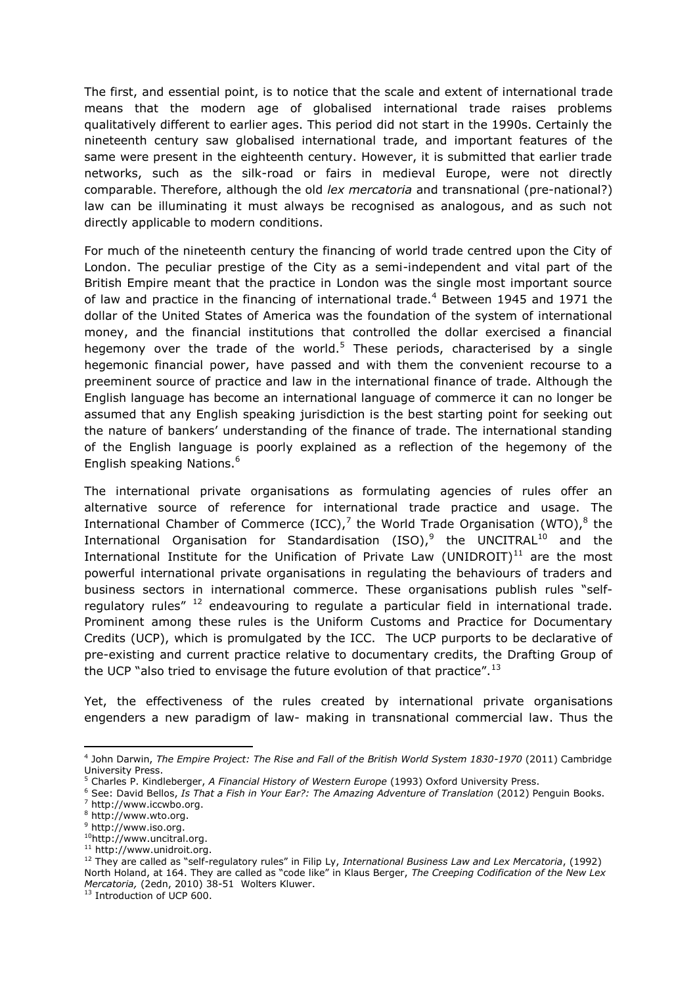The first, and essential point, is to notice that the scale and extent of international trade means that the modern age of globalised international trade raises problems qualitatively different to earlier ages. This period did not start in the 1990s. Certainly the nineteenth century saw globalised international trade, and important features of the same were present in the eighteenth century. However, it is submitted that earlier trade networks, such as the silk-road or fairs in medieval Europe, were not directly comparable. Therefore, although the old *lex mercatoria* and transnational (pre-national?) law can be illuminating it must always be recognised as analogous, and as such not directly applicable to modern conditions.

For much of the nineteenth century the financing of world trade centred upon the City of London. The peculiar prestige of the City as a semi-independent and vital part of the British Empire meant that the practice in London was the single most important source of law and practice in the financing of international trade.<sup>4</sup> Between 1945 and 1971 the dollar of the United States of America was the foundation of the system of international money, and the financial institutions that controlled the dollar exercised a financial hegemony over the trade of the world.<sup>5</sup> These periods, characterised by a single hegemonic financial power, have passed and with them the convenient recourse to a preeminent source of practice and law in the international finance of trade. Although the English language has become an international language of commerce it can no longer be assumed that any English speaking jurisdiction is the best starting point for seeking out the nature of bankers' understanding of the finance of trade. The international standing of the English language is poorly explained as a reflection of the hegemony of the English speaking Nations.<sup>6</sup>

The international private organisations as formulating agencies of rules offer an alternative source of reference for international trade practice and usage. The International Chamber of Commerce (ICC),<sup>7</sup> the World Trade Organisation (WTO),<sup>8</sup> the International Organisation for Standardisation (ISO), $9$  the UNCITRAL<sup>10</sup> and the International Institute for the Unification of Private Law (UNIDROIT) $^{11}$  are the most powerful international private organisations in regulating the behaviours of traders and business sectors in international commerce. These organisations publish rules "selfregulatory rules"<sup>12</sup> endeavouring to regulate a particular field in international trade. Prominent among these rules is the Uniform Customs and Practice for Documentary Credits (UCP), which is promulgated by the ICC. The UCP purports to be declarative of pre-existing and current practice relative to documentary credits, the Drafting Group of the UCP "also tried to envisage the future evolution of that practice".<sup>13</sup>

Yet, the effectiveness of the rules created by international private organisations engenders a new paradigm of law- making in transnational commercial law. Thus the

<sup>1</sup> 4 John Darwin, *The Empire Project: The Rise and Fall of the British World System 1830-1970* (2011) Cambridge University Press.

<sup>5</sup> Charles P. Kindleberger, *A Financial History of Western Europe* (1993) Oxford University Press.

<sup>6</sup> See: David Bellos, *Is That a Fish in Your Ear?: The Amazing Adventure of Translation* (2012) Penguin Books. <sup>7</sup> [http://www.iccwbo.org.](http://www.iccwbo.org/)

<sup>8</sup> [http://www.wto.org.](http://www.wto.org/)

<sup>&</sup>lt;sup>9</sup> [http://www.iso.org.](http://www.iso.org/)

<sup>10</sup>[http://www.uncitral.org.](http://www.uncitral.org/)

<sup>11</sup> [http://www.unidroit.org.](http://www.unidroit.org/)

<sup>12</sup> They are called as "self-regulatory rules" in Filip Ly, *International Business Law and Lex Mercatoria*, (1992) North Holand, at 164. They are called as "code like" in Klaus Berger, *The Creeping Codification of the New Lex Mercatoria,* (2edn, 2010) 38-51 Wolters Kluwer.

<sup>&</sup>lt;sup>13</sup> Introduction of UCP 600.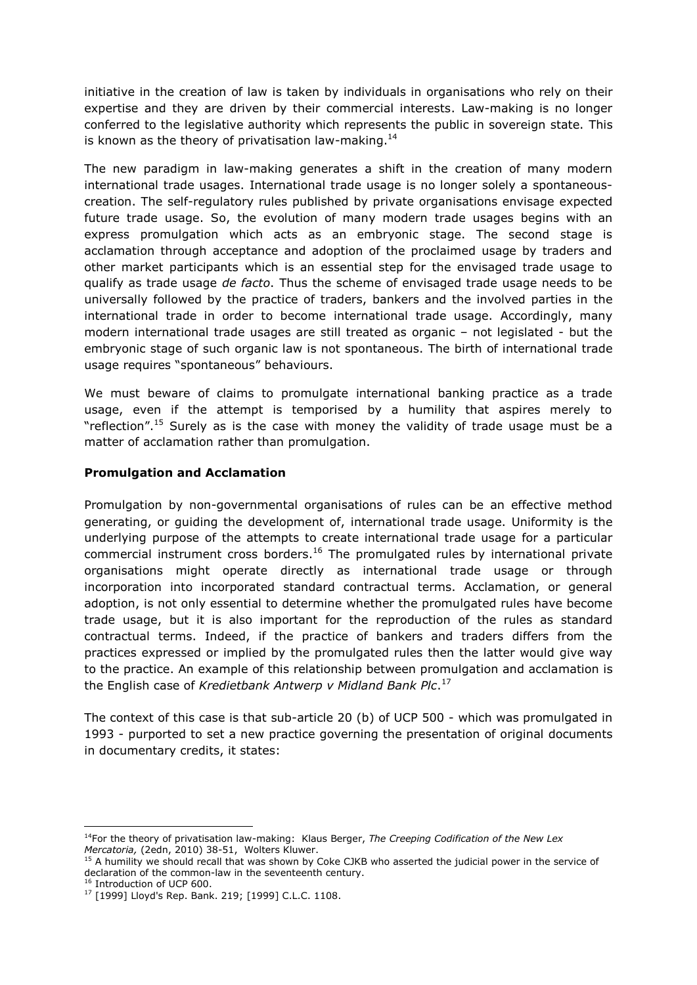initiative in the creation of law is taken by individuals in organisations who rely on their expertise and they are driven by their commercial interests. Law-making is no longer conferred to the legislative authority which represents the public in sovereign state. This is known as the theory of privatisation law-making.<sup>14</sup>

The new paradigm in law-making generates a shift in the creation of many modern international trade usages. International trade usage is no longer solely a spontaneouscreation. The self-regulatory rules published by private organisations envisage expected future trade usage. So, the evolution of many modern trade usages begins with an express promulgation which acts as an embryonic stage. The second stage is acclamation through acceptance and adoption of the proclaimed usage by traders and other market participants which is an essential step for the envisaged trade usage to qualify as trade usage *de facto*. Thus the scheme of envisaged trade usage needs to be universally followed by the practice of traders, bankers and the involved parties in the international trade in order to become international trade usage. Accordingly, many modern international trade usages are still treated as organic – not legislated - but the embryonic stage of such organic law is not spontaneous. The birth of international trade usage requires "spontaneous" behaviours.

We must beware of claims to promulgate international banking practice as a trade usage, even if the attempt is temporised by a humility that aspires merely to "reflection".<sup>15</sup> Surely as is the case with money the validity of trade usage must be a matter of acclamation rather than promulgation.

#### **Promulgation and Acclamation**

Promulgation by non-governmental organisations of rules can be an effective method generating, or guiding the development of, international trade usage. Uniformity is the underlying purpose of the attempts to create international trade usage for a particular commercial instrument cross borders.<sup>16</sup> The promulgated rules by international private organisations might operate directly as international trade usage or through incorporation into incorporated standard contractual terms. Acclamation, or general adoption, is not only essential to determine whether the promulgated rules have become trade usage, but it is also important for the reproduction of the rules as standard contractual terms. Indeed, if the practice of bankers and traders differs from the practices expressed or implied by the promulgated rules then the latter would give way to the practice. An example of this relationship between promulgation and acclamation is the English case of *Kredietbank Antwerp v Midland Bank Plc*. 17

The context of this case is that sub-article 20 (b) of UCP 500 - which was promulgated in 1993 - purported to set a new practice governing the presentation of original documents in documentary credits, it states:

**<sup>.</sup>** <sup>14</sup>For the theory of privatisation law-making: Klaus Berger, *The Creeping Codification of the New Lex Mercatoria,* (2edn, 2010) 38-51, Wolters Kluwer.

<sup>&</sup>lt;sup>15</sup> A humility we should recall that was shown by Coke CJKB who asserted the judicial power in the service of declaration of the common-law in the seventeenth century.

<sup>&</sup>lt;sup>16</sup> Introduction of UCP 600.

<sup>17</sup> [1999] Lloyd's Rep. Bank. 219; [\[1999\] C.L.C. 1108.](http://login.westlaw.co.uk/maf/wluk/app/document?src=doc&linktype=ref&&context=10&crumb-action=replace&docguid=IF46D41C0E4B711DAB61499BEED25CD3B)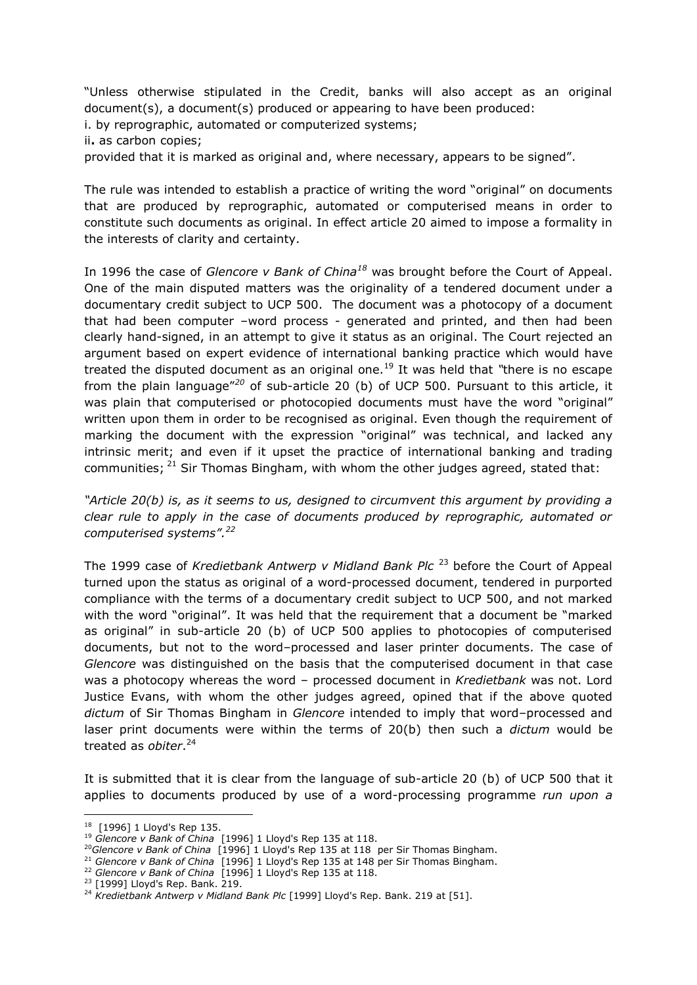"Unless otherwise stipulated in the Credit, banks will also accept as an original document(s), a document(s) produced or appearing to have been produced:

i. by reprographic, automated or computerized systems;

ii**.** as carbon copies;

provided that it is marked as original and, where necessary, appears to be signed".

The rule was intended to establish a practice of writing the word "original" on documents that are produced by reprographic, automated or computerised means in order to constitute such documents as original. In effect article 20 aimed to impose a formality in the interests of clarity and certainty.

In 1996 the case of *Glencore v Bank of China<sup>18</sup>* was brought before the Court of Appeal. One of the main disputed matters was the originality of a tendered document under a documentary credit subject to UCP 500. The document was a photocopy of a document that had been computer –word process - generated and printed, and then had been clearly hand-signed, in an attempt to give it status as an original. The Court rejected an argument based on expert evidence of international banking practice which would have treated the disputed document as an original one.<sup>19</sup> It was held that *"*there is no escape from the plain language"*<sup>20</sup>* of sub-article 20 (b) of UCP 500. Pursuant to this article, it was plain that computerised or photocopied documents must have the word "original" written upon them in order to be recognised as original. Even though the requirement of marking the document with the expression "original" was technical, and lacked any intrinsic merit; and even if it upset the practice of international banking and trading communities;  $^{21}$  Sir Thomas Bingham, with whom the other judges agreed, stated that:

*"Article 20(b) is, as it seems to us, designed to circumvent this argument by providing a clear rule to apply in the case of documents produced by reprographic, automated or computerised systems".<sup>22</sup>*

The 1999 case of *Kredietbank Antwerp v Midland Bank Plc* <sup>23</sup> before the Court of Appeal turned upon the status as original of a word-processed document, tendered in purported compliance with the terms of a documentary credit subject to UCP 500, and not marked with the word "original". It was held that the requirement that a document be "marked as original" in sub-article 20 (b) of UCP 500 applies to photocopies of computerised documents, but not to the word–processed and laser printer documents. The case of *Glencore* was distinguished on the basis that the computerised document in that case was a photocopy whereas the word – processed document in *Kredietbank* was not. Lord Justice Evans, with whom the other judges agreed, opined that if the above quoted *dictum* of Sir Thomas Bingham in *Glencore* intended to imply that word–processed and laser print documents were within the terms of 20(b) then such a *dictum* would be treated as *obiter*. 24

It is submitted that it is clear from the language of sub-article 20 (b) of UCP 500 that it applies to documents produced by use of a word-processing programme *run upon a* 

<sup>18</sup> [\[1996\] 1 Lloyd's Rep 135.](http://login.westlaw.co.uk/maf/wluk/app/document?src=doc&linktype=ref&&context=8&crumb-action=replace&docguid=IAFBC4660E42711DA8FC2A0F0355337E9)

<sup>19</sup> *Glencore v Bank of China* [\[1996\] 1 Lloyd's Rep 135](http://login.westlaw.co.uk/maf/wluk/app/document?src=doc&linktype=ref&&context=8&crumb-action=replace&docguid=IAFBC4660E42711DA8FC2A0F0355337E9) at 118.

<sup>20</sup>*Glencore v Bank of China* [\[1996\] 1 Lloyd's Rep 135](http://login.westlaw.co.uk/maf/wluk/app/document?src=doc&linktype=ref&&context=8&crumb-action=replace&docguid=IAFBC4660E42711DA8FC2A0F0355337E9) at 118 per Sir Thomas Bingham.

<sup>21</sup> *Glencore v Bank of China* [\[1996\] 1 Lloyd's Rep 135](http://login.westlaw.co.uk/maf/wluk/app/document?src=doc&linktype=ref&&context=8&crumb-action=replace&docguid=IAFBC4660E42711DA8FC2A0F0355337E9) at 148 per Sir Thomas Bingham.

<sup>22</sup> *Glencore v Bank of China* [\[1996\] 1 Lloyd's Rep 135](http://login.westlaw.co.uk/maf/wluk/app/document?src=doc&linktype=ref&&context=8&crumb-action=replace&docguid=IAFBC4660E42711DA8FC2A0F0355337E9) at 118.

<sup>23</sup> [1999] Lloyd's Rep. Bank. 219.

<sup>&</sup>lt;sup>24</sup> Kredietbank Antwerp v Midland Bank Plc [1999] Lloyd's Rep. Bank. 219 at [51].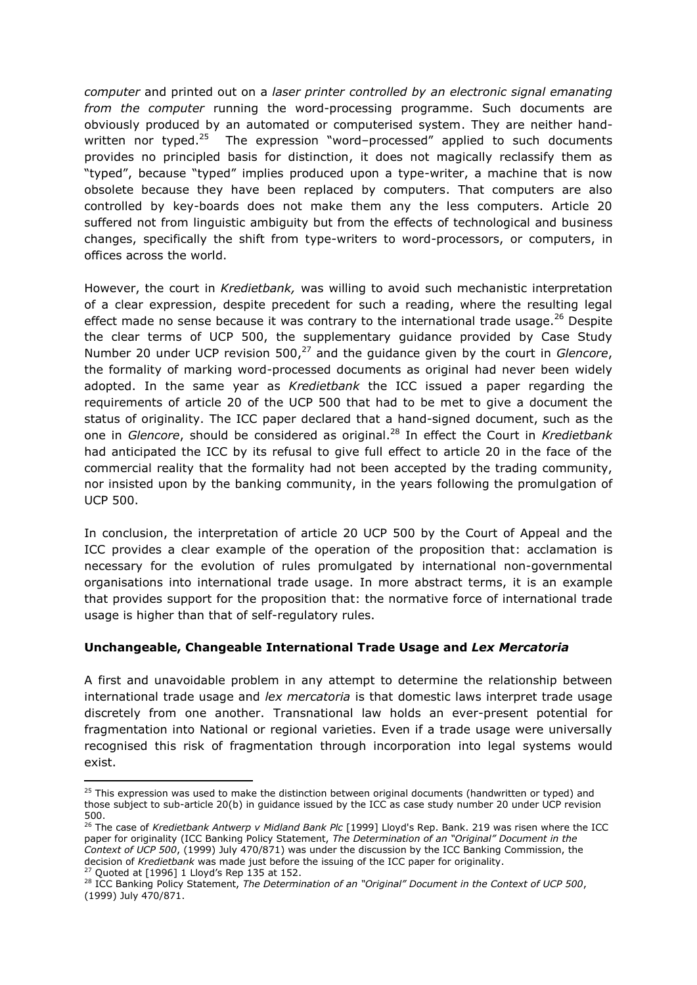*computer* and printed out on a *laser printer controlled by an electronic signal emanating from the computer* running the word-processing programme. Such documents are obviously produced by an automated or computerised system. They are neither handwritten nor typed.<sup>25</sup> The expression "word-processed" applied to such documents provides no principled basis for distinction, it does not magically reclassify them as "typed", because "typed" implies produced upon a type-writer, a machine that is now obsolete because they have been replaced by computers. That computers are also controlled by key-boards does not make them any the less computers. Article 20 suffered not from linguistic ambiguity but from the effects of technological and business changes, specifically the shift from type-writers to word-processors, or computers, in offices across the world.

However, the court in *Kredietbank,* was willing to avoid such mechanistic interpretation of a clear expression, despite precedent for such a reading, where the resulting legal effect made no sense because it was contrary to the international trade usage. $^{26}$  Despite the clear terms of UCP 500, the supplementary guidance provided by Case Study Number 20 under UCP revision 500,<sup>27</sup> and the quidance given by the court in *Glencore*, the formality of marking word-processed documents as original had never been widely adopted. In the same year as *Kredietbank* the ICC issued a paper regarding the requirements of article 20 of the UCP 500 that had to be met to give a document the status of originality. The ICC paper declared that a hand-signed document, such as the one in *Glencore*, should be considered as original.<sup>28</sup> In effect the Court in *Kredietbank* had anticipated the ICC by its refusal to give full effect to article 20 in the face of the commercial reality that the formality had not been accepted by the trading community, nor insisted upon by the banking community, in the years following the promulgation of UCP 500.

In conclusion, the interpretation of article 20 UCP 500 by the Court of Appeal and the ICC provides a clear example of the operation of the proposition that: acclamation is necessary for the evolution of rules promulgated by international non-governmental organisations into international trade usage. In more abstract terms, it is an example that provides support for the proposition that: the normative force of international trade usage is higher than that of self-regulatory rules.

#### **Unchangeable, Changeable International Trade Usage and** *Lex Mercatoria*

A first and unavoidable problem in any attempt to determine the relationship between international trade usage and *lex mercatoria* is that domestic laws interpret trade usage discretely from one another. Transnational law holds an ever-present potential for fragmentation into National or regional varieties. Even if a trade usage were universally recognised this risk of fragmentation through incorporation into legal systems would exist.

<sup>27</sup> Quoted at [1996] 1 Lloyd's Rep 135 at 152.

<sup>&</sup>lt;sup>25</sup> This expression was used to make the distinction between original documents (handwritten or typed) and those subject to sub-article 20(b) in guidance issued by the ICC as case study number 20 under UCP revision 500.

<sup>26</sup> The case of *Kredietbank Antwerp v Midland Bank Plc* [1999] Lloyd's Rep. Bank. 219 was risen where the ICC paper for originality (ICC Banking Policy Statement, *The Determination of an "Original" Document in the Context of UCP 500*, (1999) July 470/871) was under the discussion by the ICC Banking Commission, the decision of *Kredietbank* was made just before the issuing of the ICC paper for originality.

<sup>28</sup> ICC Banking Policy Statement, *The Determination of an "Original" Document in the Context of UCP 500*, (1999) July 470/871.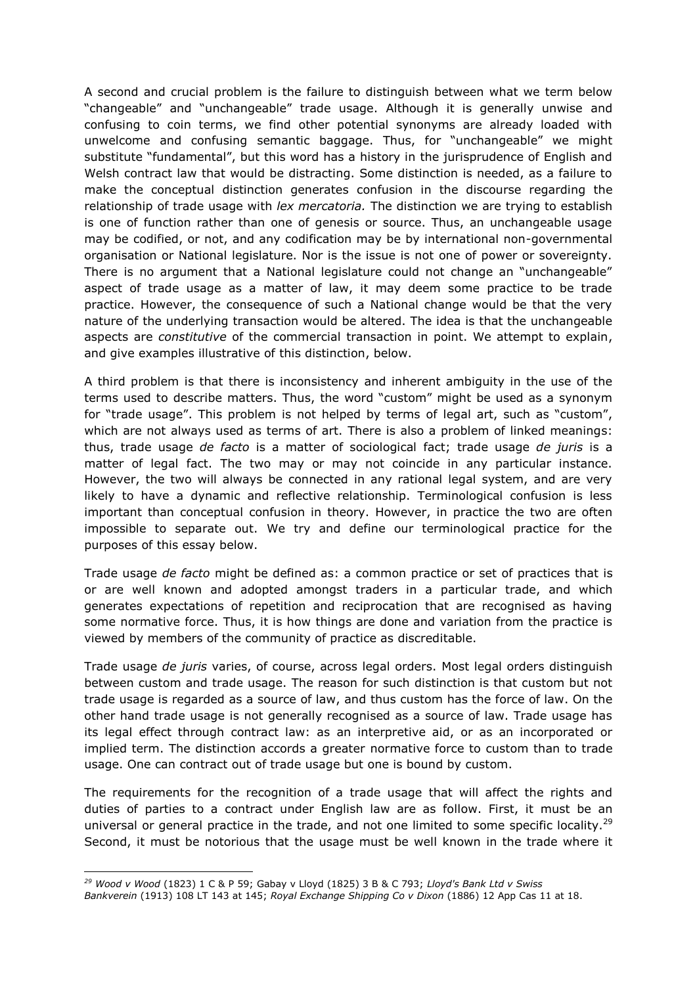A second and crucial problem is the failure to distinguish between what we term below "changeable" and "unchangeable" trade usage. Although it is generally unwise and confusing to coin terms, we find other potential synonyms are already loaded with unwelcome and confusing semantic baggage. Thus, for "unchangeable" we might substitute "fundamental", but this word has a history in the jurisprudence of English and Welsh contract law that would be distracting. Some distinction is needed, as a failure to make the conceptual distinction generates confusion in the discourse regarding the relationship of trade usage with *lex mercatoria.* The distinction we are trying to establish is one of function rather than one of genesis or source. Thus, an unchangeable usage may be codified, or not, and any codification may be by international non-governmental organisation or National legislature. Nor is the issue is not one of power or sovereignty. There is no argument that a National legislature could not change an "unchangeable" aspect of trade usage as a matter of law, it may deem some practice to be trade practice. However, the consequence of such a National change would be that the very nature of the underlying transaction would be altered. The idea is that the unchangeable aspects are *constitutive* of the commercial transaction in point. We attempt to explain, and give examples illustrative of this distinction, below.

A third problem is that there is inconsistency and inherent ambiguity in the use of the terms used to describe matters. Thus, the word "custom" might be used as a synonym for "trade usage". This problem is not helped by terms of legal art, such as "custom", which are not always used as terms of art. There is also a problem of linked meanings: thus, trade usage *de facto* is a matter of sociological fact; trade usage *de juris* is a matter of legal fact. The two may or may not coincide in any particular instance. However, the two will always be connected in any rational legal system, and are very likely to have a dynamic and reflective relationship. Terminological confusion is less important than conceptual confusion in theory. However, in practice the two are often impossible to separate out. We try and define our terminological practice for the purposes of this essay below.

Trade usage *de facto* might be defined as: a common practice or set of practices that is or are well known and adopted amongst traders in a particular trade, and which generates expectations of repetition and reciprocation that are recognised as having some normative force. Thus, it is how things are done and variation from the practice is viewed by members of the community of practice as discreditable.

Trade usage *de juris* varies, of course, across legal orders. Most legal orders distinguish between custom and trade usage. The reason for such distinction is that custom but not trade usage is regarded as a source of law, and thus custom has the force of law. On the other hand trade usage is not generally recognised as a source of law. Trade usage has its legal effect through contract law: as an interpretive aid, or as an incorporated or implied term. The distinction accords a greater normative force to custom than to trade usage. One can contract out of trade usage but one is bound by custom.

The requirements for the recognition of a trade usage that will affect the rights and duties of parties to a contract under English law are as follow. First, it must be an universal or general practice in the trade, and not one limited to some specific locality.<sup>29</sup> Second, it must be notorious that the usage must be well known in the trade where it

 $\overline{a}$ *<sup>29</sup> Wood v Wood* (1823) 1 C & P 59; Gabay v Lloyd (1825) 3 B & C 793; *Lloyd's Bank Ltd v Swiss*

*Bankverein* (1913) 108 LT 143 at 145; *Royal Exchange Shipping Co v Dixon* [\(1886\)](http://www.lexisnexis.com/uk/legal/search/enhRunRemoteLink.do?ersKey=23_T16869965973&langcountry=GB&backKey=20_T16869965974&linkInfo=F%23GB%23APPCAS%23tpage%2518%25sel2%2512%25year%251886%25page%2511%25sel1%251886%25vol%2512%25&service=citation&A=0.01931130299945616) 12 App Cas 11 at 18.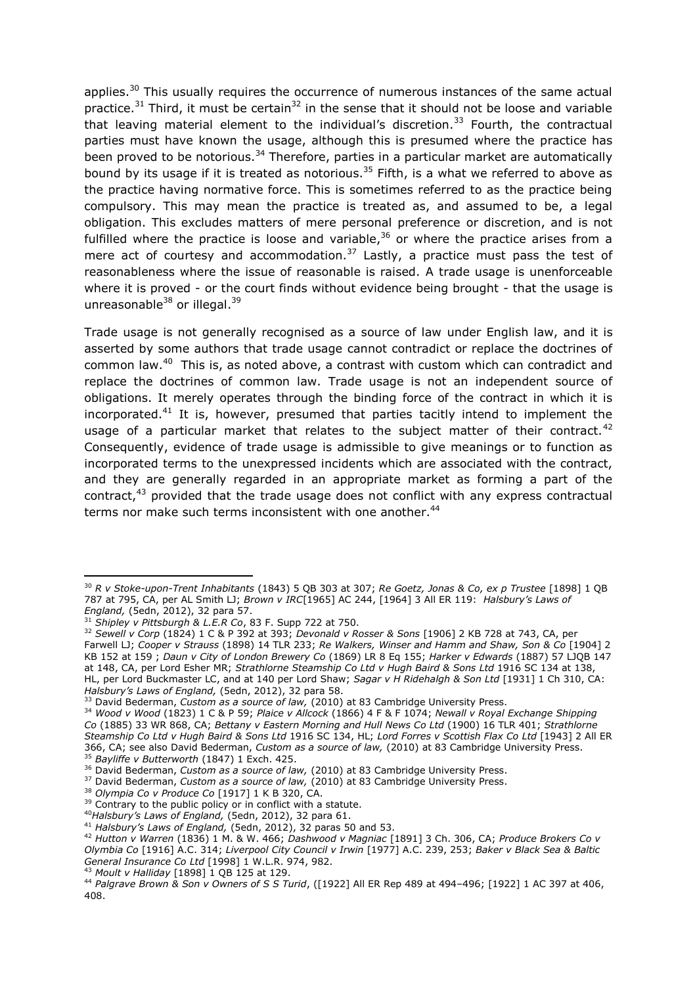applies.<sup>30</sup> This usually requires the occurrence of numerous instances of the same actual practice.<sup>31</sup> Third, it must be certain<sup>32</sup> in the sense that it should not be loose and variable that leaving material element to the individual's discretion.<sup>33</sup> Fourth, the contractual parties must have known the usage, although this is presumed where the practice has been proved to be notorious.<sup>34</sup> Therefore, parties in a particular market are automatically bound by its usage if it is treated as notorious.<sup>35</sup> Fifth, is a what we referred to above as the practice having normative force. This is sometimes referred to as the practice being compulsory. This may mean the practice is treated as, and assumed to be, a legal obligation. This excludes matters of mere personal preference or discretion, and is not fulfilled where the practice is loose and variable,  $36$  or where the practice arises from a mere act of courtesy and accommodation.<sup>37</sup> Lastly, a practice must pass the test of reasonableness where the issue of reasonable is raised. A trade usage is unenforceable where it is proved - or the court finds without evidence being brought - that the usage is unreasonable<sup>38</sup> or illegal.<sup>39</sup>

Trade usage is not generally recognised as a source of law under English law, and it is asserted by some authors that trade usage cannot contradict or replace the doctrines of common law.<sup>40</sup> This is, as noted above, a contrast with custom which can contradict and replace the doctrines of common law. Trade usage is not an independent source of obligations. It merely operates through the binding force of the contract in which it is incorporated.<sup>41</sup> It is, however, presumed that parties tacitly intend to implement the usage of a particular market that relates to the subiect matter of their contract.<sup>42</sup> Consequently, evidence of trade usage is admissible to give meanings or to function as incorporated terms to the unexpressed incidents which are associated with the contract, and they are generally regarded in an appropriate market as forming a part of the contract,<sup>43</sup> provided that the trade usage does not conflict with any express contractual terms nor make such terms inconsistent with one another.<sup>44</sup>

**.** 

<sup>38</sup> *Olympia Co v Produce Co* [1917] 1 K B 320, CA.

<sup>41</sup> *Halsbury's Laws of England,* (5edn, 2012), 32 paras 50 and 53.

<sup>43</sup> *Moult v Halliday* [\[1898\]](http://www.lexisnexis.com/uk/legal/search/enhRunRemoteLink.do?ersKey=23_T16869356292&langcountry=GB&backKey=20_T16869356293&linkInfo=F%23GB%23QB%23tpage%25129%25sel2%251%25year%251898%25page%25125%25sel1%251898%25vol%251%25&service=citation&A=0.9977567890168113) 1 QB 125 at 129.

<sup>30</sup> *R v Stoke-upon-Trent Inhabitants* (1843) 5 QB 303 at 307; *Re Goetz, Jonas & Co, ex p Trustee* [\[1898\]](http://www.lexisnexis.com/uk/legal/search/enhRunRemoteLink.do?ersKey=23_T17890281609&langcountry=GB&backKey=20_T17890281610&linkInfo=F%23GB%23QB%23tpage%25795%25sel2%251%25year%251898%25page%25787%25sel1%251898%25vol%251%25&service=citation&A=0.5276466777278693) 1 QB 787 at [795,](http://www.lexisnexis.com/uk/legal/search/enhRunRemoteLink.do?ersKey=23_T17890281609&langcountry=GB&backKey=20_T17890281610&linkInfo=F%23GB%23QB%23tpage%25795%25sel2%251%25year%251898%25page%25787%25sel1%251898%25vol%251%25&service=citation&A=0.5276466777278693) CA, per AL Smith LJ; *Brown v IRC*[\[1965\]](http://www.lexisnexis.com/uk/legal/search/enhRunRemoteLink.do?ersKey=23_T17890281609&langcountry=GB&backKey=20_T17890281610&linkInfo=F%23GB%23AC%23year%251965%25page%25244%25sel1%251965%25&service=citation&A=0.5723244016174124) AC 244, [\[1964\]](http://www.lexisnexis.com/uk/legal/search/enhRunRemoteLink.do?ersKey=23_T17890281609&langcountry=GB&backKey=20_T17890281610&linkInfo=F%23GB%23ALLER%23sel2%253%25year%251964%25page%25119%25sel1%251964%25vol%253%25&service=citation&A=0.9003135060573468) 3 All ER 119: *Halsbury's Laws of England,* (5edn, 2012), 32 para 57.

<sup>31</sup> *Shipley v Pittsburgh & L.E.R Co*, 83 F. Supp 722 at 750.

<sup>32</sup> *Sewell v Corp* (1824) 1 C & P 392 at 393; *Devonald v Rosser & Sons* [\[1906\]](http://www.lexisnexis.com/uk/legal/search/enhRunRemoteLink.do?ersKey=23_T17890604897&langcountry=GB&backKey=20_T17890604898&linkInfo=F%23GB%23KB%23tpage%25743%25sel2%252%25year%251906%25page%25728%25sel1%251906%25vol%252%25&service=citation&A=0.5664648600838663) 2 KB 728 at 743, CA, per Farwell LJ; *Cooper v Strauss* (1898) 14 TLR 233; *Re Walkers, Winser and Hamm and Shaw, Son & Co* [\[1904\]](http://www.lexisnexis.com/uk/legal/search/enhRunRemoteLink.do?ersKey=23_T17890604897&langcountry=GB&backKey=20_T17890604898&linkInfo=F%23GB%23KB%23tpage%25159%25sel2%252%25year%251904%25page%25152%25sel1%251904%25vol%252%25&service=citation&A=0.1989967402267362) 2 KB 152 at [159](http://www.lexisnexis.com/uk/legal/search/enhRunRemoteLink.do?ersKey=23_T17890604897&langcountry=GB&backKey=20_T17890604898&linkInfo=F%23GB%23KB%23tpage%25159%25sel2%252%25year%251904%25page%25152%25sel1%251904%25vol%252%25&service=citation&A=0.1989967402267362) ; *Daun v City of London Brewery Co* [\(1869\)](http://www.lexisnexis.com/uk/legal/search/enhRunRemoteLink.do?ersKey=23_T17890604897&langcountry=GB&backKey=20_T17890604898&linkInfo=F%23GB%23EQ%23sel2%258%25year%251869%25page%25155%25sel1%251869%25vol%258%25&service=citation&A=0.27564980820327867) LR 8 Eq 155; *Harker v Edwards* (1887) 57 LJQB 147 at 148, CA, per Lord Esher MR; *Strathlorne Steamship Co Ltd v Hugh Baird & Sons Ltd* 1916 SC 134 at 138, HL, per Lord Buckmaster LC, and at 140 per Lord Shaw; *Sagar v H Ridehalgh & Son Ltd* [\[1931\]](http://www.lexisnexis.com/uk/legal/search/enhRunRemoteLink.do?ersKey=23_T17890604897&langcountry=GB&backKey=20_T17890604898&linkInfo=F%23GB%23CH%23sel2%251%25year%251931%25page%25310%25sel1%251931%25vol%251%25&service=citation&A=0.6080469112850202) 1 Ch 310, CA: *Halsbury's Laws of England,* (5edn, 2012), 32 para 58.

<sup>&</sup>lt;sup>33</sup> David Bederman, *Custom as a source of law*, (2010) at 83 Cambridge University Press.

<sup>34</sup> *Wood v Wood* (1823) 1 C & P 59; *Plaice v Allcock* (1866) 4 F & F 1074; *Newall v Royal Exchange Shipping Co* (1885) 33 WR 868, CA; *Bettany v Eastern Morning and Hull News Co Ltd* (1900) 16 TLR 401; *Strathlorne Steamship Co Ltd v Hugh Baird & Sons Ltd* 1916 SC 134, HL; *Lord Forres v Scottish Flax Co Ltd* [\[1943\]](http://www.lexisnexis.com/uk/legal/search/enhRunRemoteLink.do?ersKey=23_T17890805093&langcountry=GB&backKey=20_T17890805094&linkInfo=F%23GB%23ALLER%23sel2%252%25year%251943%25page%25366%25sel1%251943%25vol%252%25&service=citation&A=0.8964291541329737) 2 All ER [366,](http://www.lexisnexis.com/uk/legal/search/enhRunRemoteLink.do?ersKey=23_T17890805093&langcountry=GB&backKey=20_T17890805094&linkInfo=F%23GB%23ALLER%23sel2%252%25year%251943%25page%25366%25sel1%251943%25vol%252%25&service=citation&A=0.8964291541329737) CA; see also David Bederman, *Custom as a source of law,* (2010) at 83 Cambridge University Press. <sup>35</sup> *Bayliffe v Butterworth* (1847) 1 Exch. 425.

<sup>&</sup>lt;sup>36</sup> David Bederman, *Custom as a source of law*, (2010) at 83 Cambridge University Press.

<sup>37</sup> David Bederman, *Custom as a source of law,* (2010) at 83 Cambridge University Press.

 $39$  Contrary to the public policy or in conflict with a statute.

<sup>40</sup>*Halsbury's Laws of England,* (5edn, 2012), 32 para 61.

<sup>42</sup> *Hutton v Warren* (1836) 1 M. & W. 466; *Dashwood v Magniac* [1891] 3 Ch. 306, CA; *Produce Brokers Co v Olymbia Co* [1916] A.C. 314; *Liverpool City Council v Irwin* [1977] A.C. 239, 253; *Baker v Black Sea & Baltic General Insurance Co Ltd* [1998] 1 W.L.R. 974, 982.

<sup>44</sup> *Palgrave Brown & Son v Owners of S S Turid*, [\(\[1922\] All ER Rep 489](http://www.lexisnexis.com/uk/legal/search/enhRunRemoteLink.do?ersKey=23_T16913011636&langcountry=GB&backKey=20_T16913011641&linkInfo=F%23GB%23ALLERREP%23year%251922%25page%25489%25sel1%251922%25&service=citation&A=0.17137681794119608) at 494–496[; \[1922\] 1 AC 397 a](http://www.lexisnexis.com/uk/legal/search/enhRunRemoteLink.do?ersKey=23_T16913011636&langcountry=GB&backKey=20_T16913011641&linkInfo=F%23GB%23AC%23sel2%251%25year%251922%25page%25397%25sel1%251922%25vol%251%25&service=citation&A=0.8720643169286989)t 406, 408.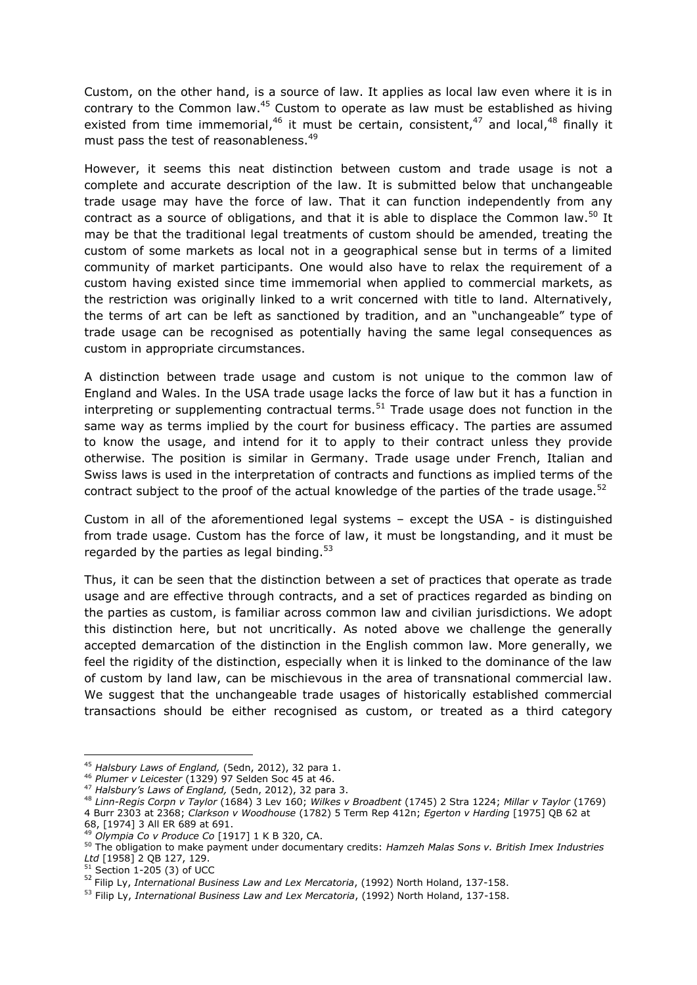Custom, on the other hand, is a source of law. It applies as local law even where it is in contrary to the Common law. $45$  Custom to operate as law must be established as hiving existed from time immemorial,<sup>46</sup> it must be certain, consistent,<sup>47</sup> and local,<sup>48</sup> finally it must pass the test of reasonableness.<sup>49</sup>

However, it seems this neat distinction between custom and trade usage is not a complete and accurate description of the law. It is submitted below that unchangeable trade usage may have the force of law. That it can function independently from any contract as a source of obligations, and that it is able to displace the Common law.<sup>50</sup> It may be that the traditional legal treatments of custom should be amended, treating the custom of some markets as local not in a geographical sense but in terms of a limited community of market participants. One would also have to relax the requirement of a custom having existed since time immemorial when applied to commercial markets, as the restriction was originally linked to a writ concerned with title to land. Alternatively, the terms of art can be left as sanctioned by tradition, and an "unchangeable" type of trade usage can be recognised as potentially having the same legal consequences as custom in appropriate circumstances.

A distinction between trade usage and custom is not unique to the common law of England and Wales. In the USA trade usage lacks the force of law but it has a function in interpreting or supplementing contractual terms.<sup>51</sup> Trade usage does not function in the same way as terms implied by the court for business efficacy. The parties are assumed to know the usage, and intend for it to apply to their contract unless they provide otherwise. The position is similar in Germany. Trade usage under French, Italian and Swiss laws is used in the interpretation of contracts and functions as implied terms of the contract subject to the proof of the actual knowledge of the parties of the trade usage.<sup>52</sup>

Custom in all of the aforementioned legal systems – except the USA - is distinguished from trade usage. Custom has the force of law, it must be longstanding, and it must be regarded by the parties as legal binding. $53$ 

Thus, it can be seen that the distinction between a set of practices that operate as trade usage and are effective through contracts, and a set of practices regarded as binding on the parties as custom, is familiar across common law and civilian jurisdictions. We adopt this distinction here, but not uncritically. As noted above we challenge the generally accepted demarcation of the distinction in the English common law. More generally, we feel the rigidity of the distinction, especially when it is linked to the dominance of the law of custom by land law, can be mischievous in the area of transnational commercial law. We suggest that the unchangeable trade usages of historically established commercial transactions should be either recognised as custom, or treated as a third category

 $\overline{a}$ <sup>45</sup> *Halsbury Laws of England,* (5edn, 2012), 32 para 1.

<sup>46</sup> *Plumer v Leicester* (1329) 97 Selden Soc 45 at 46.

<sup>47</sup> *Halsbury's Laws of England,* (5edn, 2012), 32 para 3.

<sup>48</sup> *Linn-Regis Corpn v Taylor* (1684) 3 Lev 160; *Wilkes v Broadbent* (1745) 2 Stra 1224; *Millar v Taylor* (1769)

<sup>4</sup> Burr 2303 at 2368; *Clarkson v Woodhouse* (1782) 5 Term Rep 412n; *Egerton v Harding* [\[1975\]](http://www.lexisnexis.com/uk/legal/search/enhRunRemoteLink.do?ersKey=23_T16867527736&langcountry=GB&backKey=20_T16867527739&linkInfo=F%23GB%23QB%23tpage%2568%25year%251975%25page%2562%25sel1%251975%25&service=citation&A=0.1050337174444661) QB 62 at

[<sup>68,</sup>](http://www.lexisnexis.com/uk/legal/search/enhRunRemoteLink.do?ersKey=23_T16867527736&langcountry=GB&backKey=20_T16867527739&linkInfo=F%23GB%23QB%23tpage%2568%25year%251975%25page%2562%25sel1%251975%25&service=citation&A=0.1050337174444661) [\[1974\]](http://www.lexisnexis.com/uk/legal/search/enhRunRemoteLink.do?ersKey=23_T16867527736&langcountry=GB&backKey=20_T16867527739&linkInfo=F%23GB%23ALLER%23tpage%25691%25sel2%253%25year%251974%25page%25689%25sel1%251974%25vol%253%25&service=citation&A=0.9438918026417129) 3 All ER 689 at 691.

<sup>49</sup> *Olympia Co v Produce Co* [1917] 1 K B 320, CA.

<sup>50</sup> The obligation to make payment under documentary credits: *Hamzeh Malas Sons v. British Imex Industries Ltd* [1958] 2 QB 127, 129.

 $51$  Section 1-205 (3) of UCC

<sup>52</sup> Filip Ly, *International Business Law and Lex Mercatoria*, (1992) North Holand, 137-158.

<sup>53</sup> Filip Ly, *International Business Law and Lex Mercatoria*, (1992) North Holand, 137-158.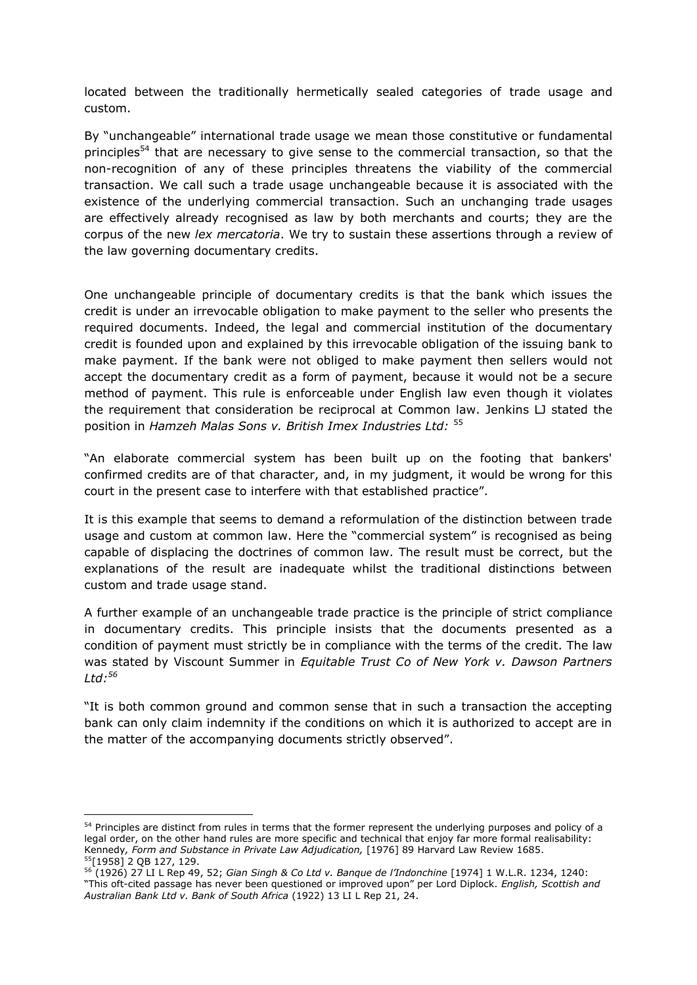located between the traditionally hermetically sealed categories of trade usage and custom.

By "unchangeable" international trade usage we mean those constitutive or fundamental principles<sup>54</sup> that are necessary to give sense to the commercial transaction, so that the non-recognition of any of these principles threatens the viability of the commercial transaction. We call such a trade usage unchangeable because it is associated with the existence of the underlying commercial transaction. Such an unchanging trade usages are effectively already recognised as law by both merchants and courts; they are the corpus of the new *lex mercatoria*. We try to sustain these assertions through a review of the law governing documentary credits.

One unchangeable principle of documentary credits is that the bank which issues the credit is under an irrevocable obligation to make payment to the seller who presents the required documents. Indeed, the legal and commercial institution of the documentary credit is founded upon and explained by this irrevocable obligation of the issuing bank to make payment. If the bank were not obliged to make payment then sellers would not accept the documentary credit as a form of payment, because it would not be a secure method of payment. This rule is enforceable under English law even though it violates the requirement that consideration be reciprocal at Common law. Jenkins LJ stated the position in *Hamzeh Malas Sons v. British Imex Industries Ltd:* <sup>55</sup>

"An elaborate commercial system has been built up on the footing that bankers' confirmed credits are of that character, and, in my judgment, it would be wrong for this court in the present case to interfere with that established practice".

It is this example that seems to demand a reformulation of the distinction between trade usage and custom at common law. Here the "commercial system" is recognised as being capable of displacing the doctrines of common law. The result must be correct, but the explanations of the result are inadequate whilst the traditional distinctions between custom and trade usage stand.

A further example of an unchangeable trade practice is the principle of strict compliance in documentary credits. This principle insists that the documents presented as a condition of payment must strictly be in compliance with the terms of the credit. The law was stated by Viscount Summer in *Equitable Trust Co of New York v. Dawson Partners Ltd:<sup>56</sup>*

"It is both common ground and common sense that in such a transaction the accepting bank can only claim indemnity if the conditions on which it is authorized to accept are in the matter of the accompanying documents strictly observed".

<sup>&</sup>lt;sup>54</sup> Principles are distinct from rules in terms that the former represent the underlying purposes and policy of a legal order, on the other hand rules are more specific and technical that enjoy far more formal realisability: Kennedy*, Form and Substance in Private Law Adjudication,* [1976] 89 Harvard Law Review 1685. <sup>55</sup>[1958] 2 QB 127, 129.

<sup>56</sup> (1926) 27 LI L Rep 49, 52; *Gian Singh & Co Ltd v. Banque de l'Indonchine* [1974] 1 W.L.R. 1234, 1240: "This oft-cited passage has never been questioned or improved upon" per Lord Diplock. *English, Scottish and Australian Bank Ltd v. Bank of South Africa* (1922) 13 LI L Rep 21, 24.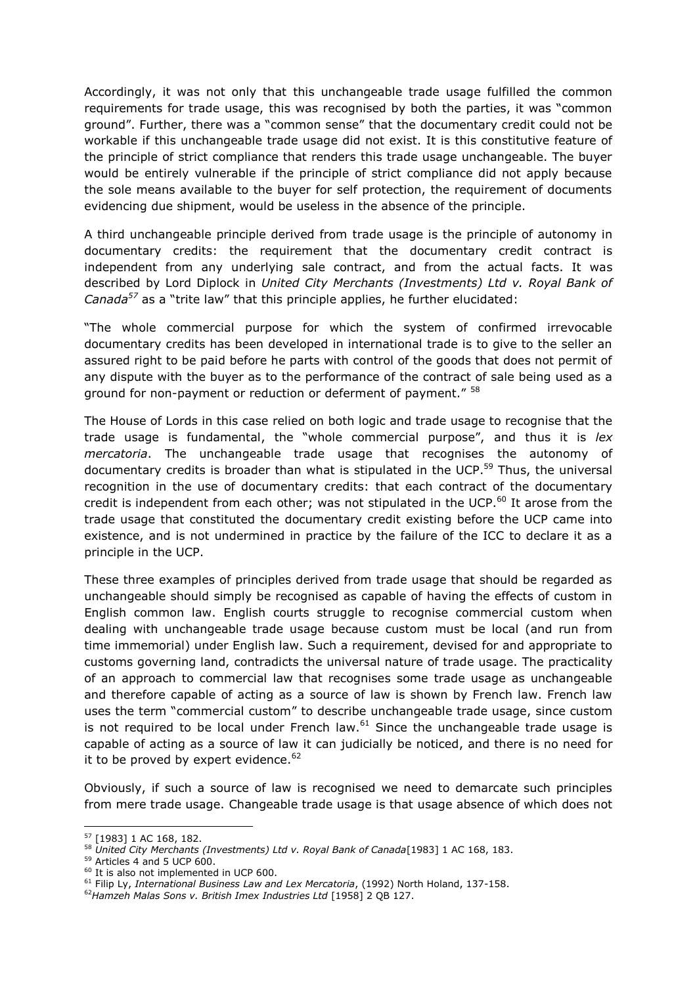Accordingly, it was not only that this unchangeable trade usage fulfilled the common requirements for trade usage, this was recognised by both the parties, it was "common ground". Further, there was a "common sense" that the documentary credit could not be workable if this unchangeable trade usage did not exist. It is this constitutive feature of the principle of strict compliance that renders this trade usage unchangeable. The buyer would be entirely vulnerable if the principle of strict compliance did not apply because the sole means available to the buyer for self protection, the requirement of documents evidencing due shipment, would be useless in the absence of the principle.

A third unchangeable principle derived from trade usage is the principle of autonomy in documentary credits: the requirement that the documentary credit contract is independent from any underlying sale contract, and from the actual facts. It was described by Lord Diplock in *United City Merchants (Investments) Ltd v. Royal Bank of Canada<sup>57</sup>* as a "trite law" that this principle applies, he further elucidated:

"The whole commercial purpose for which the system of confirmed irrevocable documentary credits has been developed in international trade is to give to the seller an assured right to be paid before he parts with control of the goods that does not permit of any dispute with the buyer as to the performance of the contract of sale being used as a ground for non-payment or reduction or deferment of payment." <sup>58</sup>

The House of Lords in this case relied on both logic and trade usage to recognise that the trade usage is fundamental, the "whole commercial purpose", and thus it is *lex mercatoria*. The unchangeable trade usage that recognises the autonomy of documentary credits is broader than what is stipulated in the UCP.<sup>59</sup> Thus, the universal recognition in the use of documentary credits: that each contract of the documentary credit is independent from each other; was not stipulated in the UCP. $^{60}$  It arose from the trade usage that constituted the documentary credit existing before the UCP came into existence, and is not undermined in practice by the failure of the ICC to declare it as a principle in the UCP.

These three examples of principles derived from trade usage that should be regarded as unchangeable should simply be recognised as capable of having the effects of custom in English common law. English courts struggle to recognise commercial custom when dealing with unchangeable trade usage because custom must be local (and run from time immemorial) under English law. Such a requirement, devised for and appropriate to customs governing land, contradicts the universal nature of trade usage. The practicality of an approach to commercial law that recognises some trade usage as unchangeable and therefore capable of acting as a source of law is shown by French law. French law uses the term "commercial custom" to describe unchangeable trade usage, since custom is not required to be local under French law. $61$  Since the unchangeable trade usage is capable of acting as a source of law it can judicially be noticed, and there is no need for it to be proved by expert evidence. $62$ 

Obviously, if such a source of law is recognised we need to demarcate such principles from mere trade usage. Changeable trade usage is that usage absence of which does not

<sup>57</sup> [1983] 1 AC 168, 182.

<sup>58</sup> *United City Merchants (Investments) Ltd v. Royal Bank of Canada*[1983] 1 AC 168, 183.

<sup>&</sup>lt;sup>59</sup> Articles 4 and 5 UCP 600.

<sup>&</sup>lt;sup>60</sup> It is also not implemented in UCP 600.

<sup>61</sup> Filip Ly, *International Business Law and Lex Mercatoria*, (1992) North Holand, 137-158.

<sup>62</sup>*Hamzeh Malas Sons v. British Imex Industries Ltd* [1958] 2 QB 127.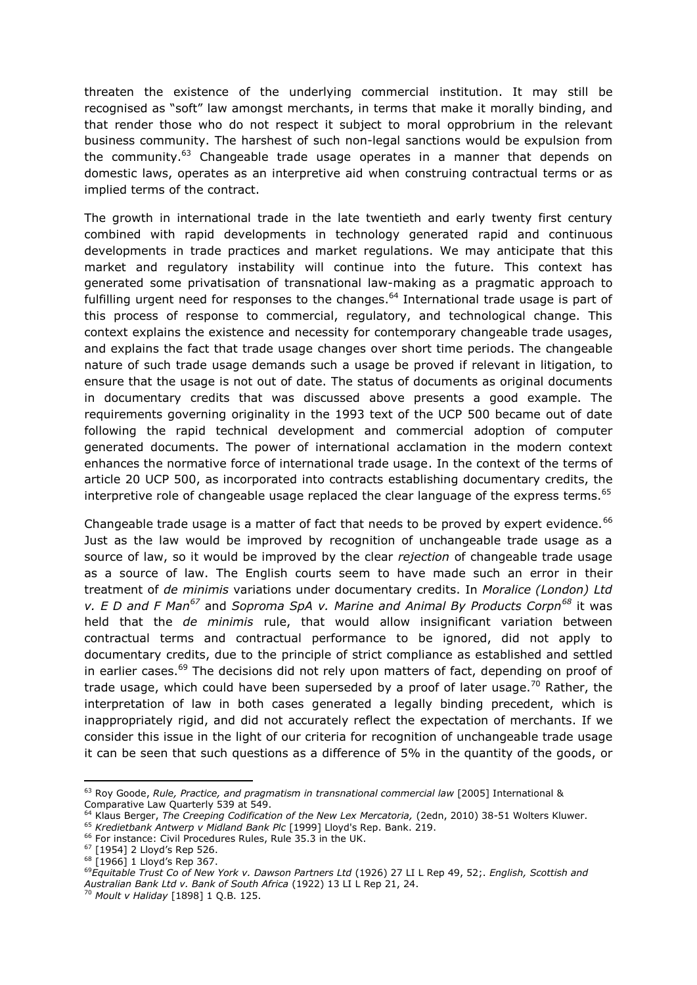threaten the existence of the underlying commercial institution. It may still be recognised as "soft" law amongst merchants, in terms that make it morally binding, and that render those who do not respect it subject to moral opprobrium in the relevant business community. The harshest of such non-legal sanctions would be expulsion from the community.<sup>63</sup> Changeable trade usage operates in a manner that depends on domestic laws, operates as an interpretive aid when construing contractual terms or as implied terms of the contract.

The growth in international trade in the late twentieth and early twenty first century combined with rapid developments in technology generated rapid and continuous developments in trade practices and market regulations. We may anticipate that this market and regulatory instability will continue into the future. This context has generated some privatisation of transnational law-making as a pragmatic approach to fulfilling urgent need for responses to the changes.<sup>64</sup> International trade usage is part of this process of response to commercial, regulatory, and technological change. This context explains the existence and necessity for contemporary changeable trade usages, and explains the fact that trade usage changes over short time periods. The changeable nature of such trade usage demands such a usage be proved if relevant in litigation, to ensure that the usage is not out of date. The status of documents as original documents in documentary credits that was discussed above presents a good example. The requirements governing originality in the 1993 text of the UCP 500 became out of date following the rapid technical development and commercial adoption of computer generated documents. The power of international acclamation in the modern context enhances the normative force of international trade usage. In the context of the terms of article 20 UCP 500, as incorporated into contracts establishing documentary credits, the interpretive role of changeable usage replaced the clear language of the express terms. 65

Changeable trade usage is a matter of fact that needs to be proved by expert evidence.<sup>66</sup> Just as the law would be improved by recognition of unchangeable trade usage as a source of law, so it would be improved by the clear *rejection* of changeable trade usage as a source of law. The English courts seem to have made such an error in their treatment of *de minimis* variations under documentary credits. In *Moralice (London) Ltd v. E D and F Man<sup>67</sup>* and *Soproma SpA v. Marine and Animal By Products Corpn<sup>68</sup>* it was held that the *de minimis* rule, that would allow insignificant variation between contractual terms and contractual performance to be ignored, did not apply to documentary credits, due to the principle of strict compliance as established and settled in earlier cases.<sup>69</sup> The decisions did not rely upon matters of fact, depending on proof of trade usage, which could have been superseded by a proof of later usage.<sup>70</sup> Rather, the interpretation of law in both cases generated a legally binding precedent, which is inappropriately rigid, and did not accurately reflect the expectation of merchants. If we consider this issue in the light of our criteria for recognition of unchangeable trade usage it can be seen that such questions as a difference of 5% in the quantity of the goods, or

<sup>63</sup> Roy Goode, *Rule, Practice, and pragmatism in transnational commercial law* [2005] International & Comparative Law Quarterly 539 at 549.

<sup>64</sup> Klaus Berger, *The Creeping Codification of the New Lex Mercatoria,* (2edn, 2010) 38-51 Wolters Kluwer.

<sup>65</sup> *Kredietbank Antwerp v Midland Bank Plc* [1999] Lloyd's Rep. Bank. 219.

<sup>&</sup>lt;sup>66</sup> For instance: Civil Procedures Rules, Rule 35.3 in the UK.

<sup>67</sup> [1954] 2 Lloyd's Rep 526.

<sup>68</sup> [1966] 1 Lloyd's Rep 367.

<sup>69</sup>*Equitable Trust Co of New York v. Dawson Partners Ltd* (1926) 27 LI L Rep 49, 52;. *English, Scottish and Australian Bank Ltd v. Bank of South Africa* (1922) 13 LI L Rep 21, 24.

<sup>70</sup> *Moult v Haliday* [1898] 1 Q.B. 125.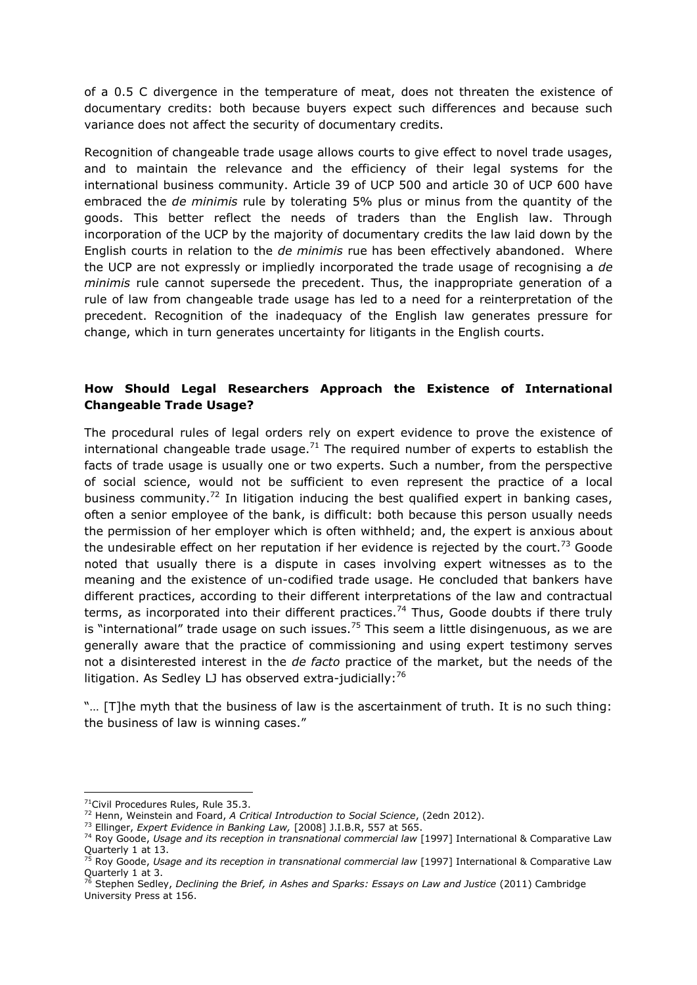of a 0.5 C divergence in the temperature of meat, does not threaten the existence of documentary credits: both because buyers expect such differences and because such variance does not affect the security of documentary credits.

Recognition of changeable trade usage allows courts to give effect to novel trade usages, and to maintain the relevance and the efficiency of their legal systems for the international business community. Article 39 of UCP 500 and article 30 of UCP 600 have embraced the *de minimis* rule by tolerating 5% plus or minus from the quantity of the goods. This better reflect the needs of traders than the English law. Through incorporation of the UCP by the majority of documentary credits the law laid down by the English courts in relation to the *de minimis* rue has been effectively abandoned. Where the UCP are not expressly or impliedly incorporated the trade usage of recognising a *de minimis* rule cannot supersede the precedent. Thus, the inappropriate generation of a rule of law from changeable trade usage has led to a need for a reinterpretation of the precedent. Recognition of the inadequacy of the English law generates pressure for change, which in turn generates uncertainty for litigants in the English courts.

### **How Should Legal Researchers Approach the Existence of International Changeable Trade Usage?**

The procedural rules of legal orders rely on expert evidence to prove the existence of international changeable trade usage.<sup>71</sup> The required number of experts to establish the facts of trade usage is usually one or two experts. Such a number, from the perspective of social science, would not be sufficient to even represent the practice of a local business community.<sup>72</sup> In litigation inducing the best qualified expert in banking cases, often a senior employee of the bank, is difficult: both because this person usually needs the permission of her employer which is often withheld; and, the expert is anxious about the undesirable effect on her reputation if her evidence is rejected by the court.<sup>73</sup> Goode noted that usually there is a dispute in cases involving expert witnesses as to the meaning and the existence of un-codified trade usage. He concluded that bankers have different practices, according to their different interpretations of the law and contractual terms, as incorporated into their different practices.<sup>74</sup> Thus, Goode doubts if there truly is "international" trade usage on such issues.<sup>75</sup> This seem a little disingenuous, as we are generally aware that the practice of commissioning and using expert testimony serves not a disinterested interest in the *de facto* practice of the market, but the needs of the litigation. As Sedley LJ has observed extra-judicially:<sup>76</sup>

"… [T]he myth that the business of law is the ascertainment of truth. It is no such thing: the business of law is winning cases."

<sup>&</sup>lt;sup>71</sup>Civil Procedures Rules, Rule 35.3.

<sup>72</sup> Henn, Weinstein and Foard, *A Critical Introduction to Social Science*, (2edn 2012).

<sup>73</sup> Ellinger, *Expert Evidence in Banking Law,* [2008] J.I.B.R, 557 at 565.

<sup>74</sup> Roy Goode, *Usage and its reception in transnational commercial law* [1997] International & Comparative Law Quarterly 1 at 13.

<sup>75</sup> Roy Goode, *Usage and its reception in transnational commercial law* [1997] International & Comparative Law Quarterly 1 at 3.

<sup>76</sup> Stephen Sedley, *Declining the Brief, in Ashes and Sparks: Essays on Law and Justice* (2011) Cambridge University Press at 156.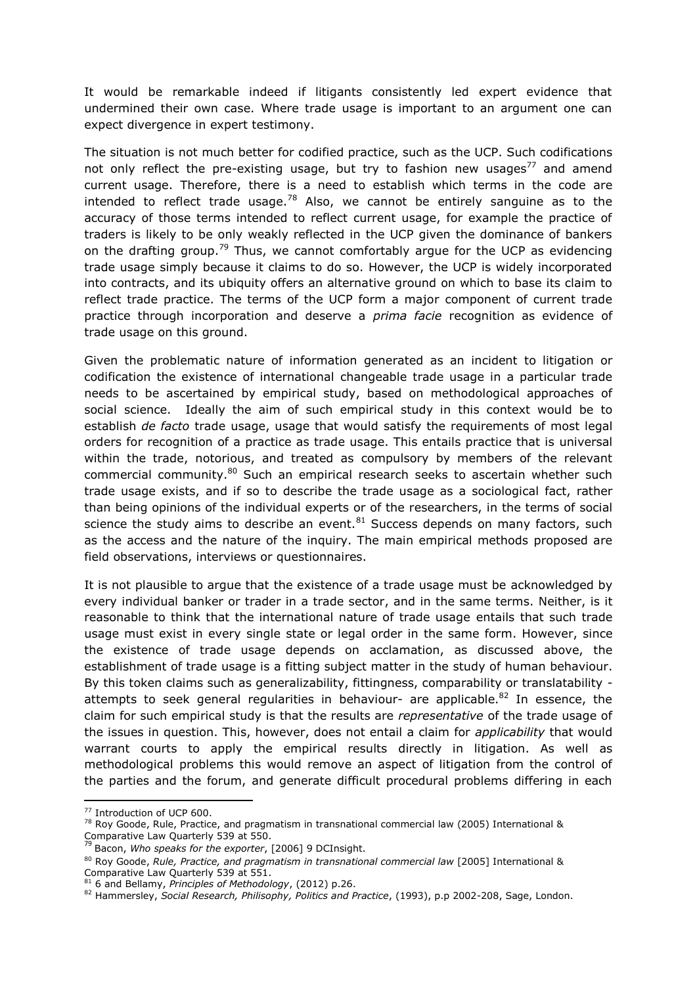It would be remarkable indeed if litigants consistently led expert evidence that undermined their own case. Where trade usage is important to an argument one can expect divergence in expert testimony.

The situation is not much better for codified practice, such as the UCP. Such codifications not only reflect the pre-existing usage, but try to fashion new usages<sup>77</sup> and amend current usage. Therefore, there is a need to establish which terms in the code are intended to reflect trade usage.<sup>78</sup> Also, we cannot be entirely sanguine as to the accuracy of those terms intended to reflect current usage, for example the practice of traders is likely to be only weakly reflected in the UCP given the dominance of bankers on the drafting group.<sup>79</sup> Thus, we cannot comfortably argue for the UCP as evidencing trade usage simply because it claims to do so. However, the UCP is widely incorporated into contracts, and its ubiquity offers an alternative ground on which to base its claim to reflect trade practice. The terms of the UCP form a major component of current trade practice through incorporation and deserve a *prima facie* recognition as evidence of trade usage on this ground.

Given the problematic nature of information generated as an incident to litigation or codification the existence of international changeable trade usage in a particular trade needs to be ascertained by empirical study, based on methodological approaches of social science. Ideally the aim of such empirical study in this context would be to establish *de facto* trade usage, usage that would satisfy the requirements of most legal orders for recognition of a practice as trade usage. This entails practice that is universal within the trade, notorious, and treated as compulsory by members of the relevant commercial community.<sup>80</sup> Such an empirical research seeks to ascertain whether such trade usage exists, and if so to describe the trade usage as a sociological fact, rather than being opinions of the individual experts or of the researchers, in the terms of social science the study aims to describe an event. $81$  Success depends on many factors, such as the access and the nature of the inquiry. The main empirical methods proposed are field observations, interviews or questionnaires.

It is not plausible to argue that the existence of a trade usage must be acknowledged by every individual banker or trader in a trade sector, and in the same terms. Neither, is it reasonable to think that the international nature of trade usage entails that such trade usage must exist in every single state or legal order in the same form. However, since the existence of trade usage depends on acclamation, as discussed above, the establishment of trade usage is a fitting subject matter in the study of human behaviour. By this token claims such as generalizability, fittingness, comparability or translatability attempts to seek general regularities in behaviour- are applicable.<sup>82</sup> In essence, the claim for such empirical study is that the results are *representative* of the trade usage of the issues in question. This, however, does not entail a claim for *applicability* that would warrant courts to apply the empirical results directly in litigation. As well as methodological problems this would remove an aspect of litigation from the control of the parties and the forum, and generate difficult procedural problems differing in each

1

<sup>77</sup> Introduction of UCP 600.

<sup>78</sup> Roy Goode, Rule, Practice, and pragmatism in transnational commercial law (2005) International & Comparative Law Quarterly 539 at 550. <sup>79</sup> Bacon, *Who speaks for the exporter*, [2006] 9 DCInsight.

<sup>80</sup> Roy Goode, *Rule, Practice, and pragmatism in transnational commercial law* [2005] International & Comparative Law Quarterly 539 at 551.

<sup>81</sup> 6 and Bellamy, *Principles of Methodology*, (2012) p.26.

<sup>82</sup> Hammersley, *Social Research, Philisophy, Politics and Practice*, (1993), p.p 2002-208, Sage, London.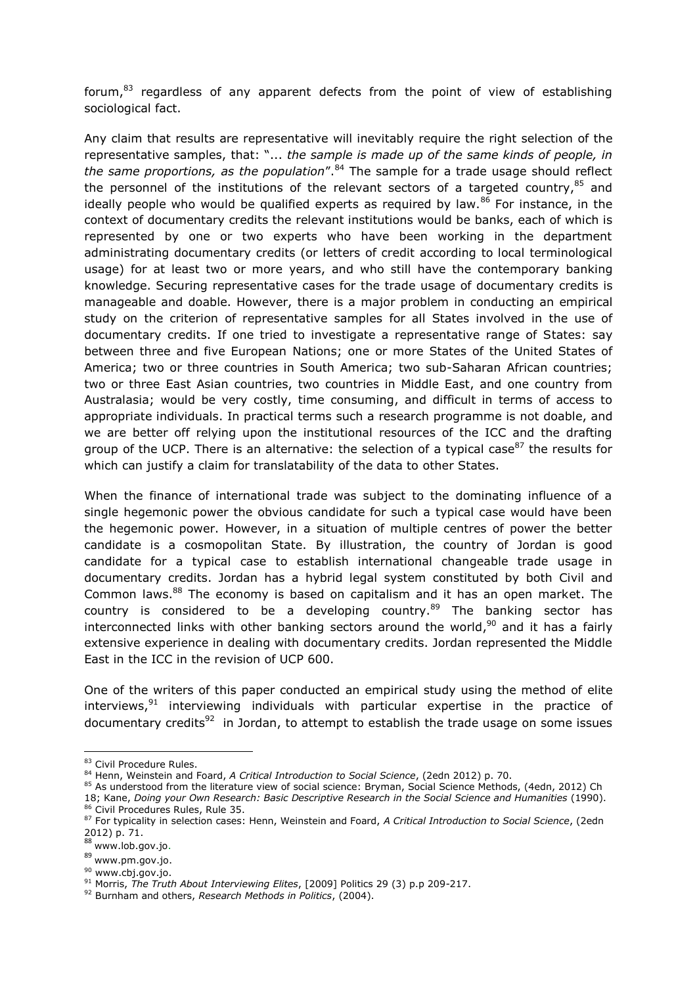forum, $83$  regardless of any apparent defects from the point of view of establishing sociological fact.

Any claim that results are representative will inevitably require the right selection of the representative samples, that: "... *the sample is made up of the same kinds of people, in the same proportions, as the population*".<sup>84</sup> The sample for a trade usage should reflect the personnel of the institutions of the relevant sectors of a targeted country, $^{85}$  and ideally people who would be qualified experts as required by law. $86$  For instance, in the context of documentary credits the relevant institutions would be banks, each of which is represented by one or two experts who have been working in the department administrating documentary credits (or letters of credit according to local terminological usage) for at least two or more years, and who still have the contemporary banking knowledge. Securing representative cases for the trade usage of documentary credits is manageable and doable. However, there is a major problem in conducting an empirical study on the criterion of representative samples for all States involved in the use of documentary credits. If one tried to investigate a representative range of States: say between three and five European Nations; one or more States of the United States of America; two or three countries in South America; two sub-Saharan African countries; two or three East Asian countries, two countries in Middle East, and one country from Australasia; would be very costly, time consuming, and difficult in terms of access to appropriate individuals. In practical terms such a research programme is not doable, and we are better off relying upon the institutional resources of the ICC and the drafting group of the UCP. There is an alternative: the selection of a typical case  $87$  the results for which can justify a claim for translatability of the data to other States.

When the finance of international trade was subject to the dominating influence of a single hegemonic power the obvious candidate for such a typical case would have been the hegemonic power. However, in a situation of multiple centres of power the better candidate is a cosmopolitan State. By illustration, the country of Jordan is good candidate for a typical case to establish international changeable trade usage in documentary credits. Jordan has a hybrid legal system constituted by both Civil and Common laws.<sup>88</sup> The economy is based on capitalism and it has an open market. The country is considered to be a developing country. $89$  The banking sector has interconnected links with other banking sectors around the world, $90$  and it has a fairly extensive experience in dealing with documentary credits. Jordan represented the Middle East in the ICC in the revision of UCP 600.

One of the writers of this paper conducted an empirical study using the method of elite interviews,<sup>91</sup> interviewing individuals with particular expertise in the practice of documentary credits<sup>92</sup> in Jordan, to attempt to establish the trade usage on some issues

1

<sup>83</sup> Civil Procedure Rules.

<sup>84</sup> Henn, Weinstein and Foard, *A Critical Introduction to Social Science*, (2edn 2012) p. 70.

<sup>85</sup> As understood from the literature view of social science: Bryman, Social Science Methods, (4edn, 2012) Ch 18; Kane, *Doing your Own Research: Basic Descriptive Research in the Social Science and Humanities* (1990). 86 Civil Procedures Rules, Rule 35.

<sup>87</sup> For typicality in selection cases: Henn, Weinstein and Foard, *A Critical Introduction to Social Science*, (2edn 2012) p. 71.

<sup>88</sup> [www.lob.gov.jo](http://www.lob.gov.jo/).

<sup>89</sup> [www.pm.gov.jo.](http://www.pm.gov.jo/)

<sup>90</sup> [www.cbj.gov.jo.](http://www.cbj.gov.jo/)

<sup>91</sup> Morris, *The Truth About Interviewing Elites*, [2009] Politics 29 (3) p.p 209-217.

<sup>92</sup> Burnham and others, *Research Methods in Politics*, (2004).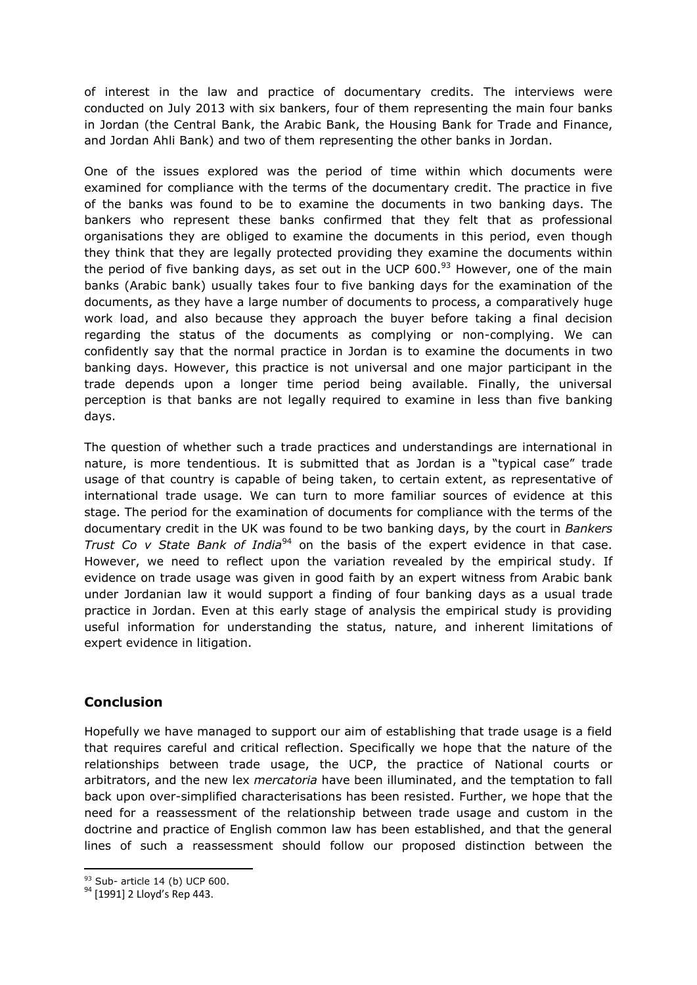of interest in the law and practice of documentary credits. The interviews were conducted on July 2013 with six bankers, four of them representing the main four banks in Jordan (the Central Bank, the Arabic Bank, the Housing Bank for Trade and Finance, and Jordan Ahli Bank) and two of them representing the other banks in Jordan.

One of the issues explored was the period of time within which documents were examined for compliance with the terms of the documentary credit. The practice in five of the banks was found to be to examine the documents in two banking days. The bankers who represent these banks confirmed that they felt that as professional organisations they are obliged to examine the documents in this period, even though they think that they are legally protected providing they examine the documents within the period of five banking days, as set out in the UCP  $600.^{93}$  However, one of the main banks (Arabic bank) usually takes four to five banking days for the examination of the documents, as they have a large number of documents to process, a comparatively huge work load, and also because they approach the buyer before taking a final decision regarding the status of the documents as complying or non-complying. We can confidently say that the normal practice in Jordan is to examine the documents in two banking days. However, this practice is not universal and one major participant in the trade depends upon a longer time period being available. Finally, the universal perception is that banks are not legally required to examine in less than five banking days.

The question of whether such a trade practices and understandings are international in nature, is more tendentious. It is submitted that as Jordan is a "typical case" trade usage of that country is capable of being taken, to certain extent, as representative of international trade usage. We can turn to more familiar sources of evidence at this stage. The period for the examination of documents for compliance with the terms of the documentary credit in the UK was found to be two banking days, by the court in *Bankers Trust Co v State Bank of India*<sup>94</sup> on the basis of the expert evidence in that case. However, we need to reflect upon the variation revealed by the empirical study. If evidence on trade usage was given in good faith by an expert witness from Arabic bank under Jordanian law it would support a finding of four banking days as a usual trade practice in Jordan. Even at this early stage of analysis the empirical study is providing useful information for understanding the status, nature, and inherent limitations of expert evidence in litigation.

## **Conclusion**

Hopefully we have managed to support our aim of establishing that trade usage is a field that requires careful and critical reflection. Specifically we hope that the nature of the relationships between trade usage, the UCP, the practice of National courts or arbitrators, and the new lex *mercatoria* have been illuminated, and the temptation to fall back upon over-simplified characterisations has been resisted. Further, we hope that the need for a reassessment of the relationship between trade usage and custom in the doctrine and practice of English common law has been established, and that the general lines of such a reassessment should follow our proposed distinction between the

**<sup>.</sup>**  $93$  Sub- article 14 (b) UCP 600.

<sup>94 [1991] 2</sup> Lloyd's Rep 443.